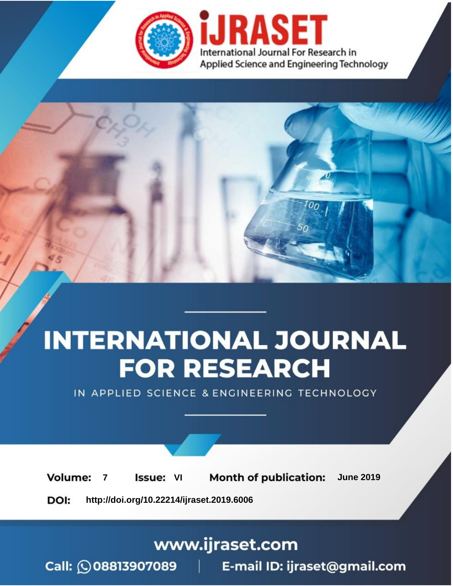

# **INTERNATIONAL JOURNAL FOR RESEARCH**

IN APPLIED SCIENCE & ENGINEERING TECHNOLOGY

**7 Issue:** VI **Month of publication:** June 2019 **Volume:** 

**http://doi.org/10.22214/ijraset.2019.6006**DOI:

### www.ijraset.com

Call: 008813907089 | E-mail ID: ijraset@gmail.com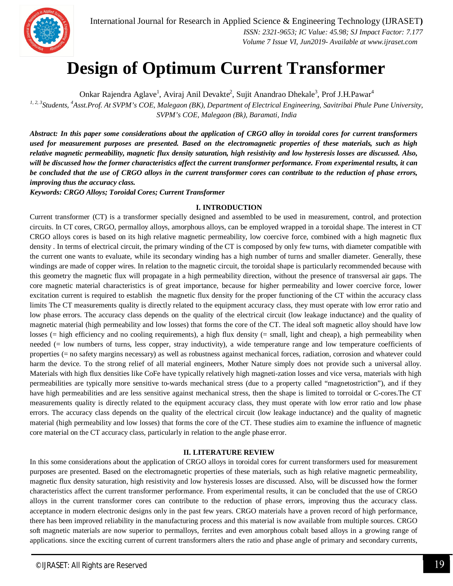

## **Design of Optimum Current Transformer**

Onkar Rajendra Aglave<sup>1</sup>, Aviraj Anil Devakte<sup>2</sup>, Sujit Anandrao Dhekale<sup>3</sup>, Prof J.H.Pawar<sup>4</sup>

<sup>1, 2, 3</sup> Students, <sup>4</sup>Asst.Prof. At SVPM's COE, Malegaon (BK), Department of Electrical Engineering, Savitribai Phule Pune University, *SVPM's COE, Malegaon (Bk), Baramati, India*

*Abstract: In this paper some considerations about the application of CRGO alloy in toroidal cores for current transformers used for measurement purposes are presented. Based on the electromagnetic properties of these materials, such as high relative magnetic permeability, magnetic flux density saturation, high resistivity and low hysteresis losses are discussed. Also, will be discussed how the former characteristics affect the current transformer performance. From experimental results, it can be concluded that the use of CRGO alloys in the current transformer cores can contribute to the reduction of phase errors, improving thus the accuracy class.*

*Keywords: CRGO Alloys; Toroidal Cores; Current Transformer*

#### **I. INTRODUCTION**

Current transformer (CT) is a transformer specially designed and assembled to be used in measurement, control, and protection circuits. In CT cores, CRGO, permalloy alloys, amorphous alloys, can be employed wrapped in a toroidal shape. The interest in CT CRGO alloys cores is based on its high relative magnetic permeability, low coercive force, combined with a high magnetic flux density . In terms of electrical circuit, the primary winding of the CT is composed by only few turns, with diameter compatible with the current one wants to evaluate, while its secondary winding has a high number of turns and smaller diameter. Generally, these windings are made of copper wires. In relation to the magnetic circuit, the toroidal shape is particularly recommended because with this geometry the magnetic flux will propagate in a high permeability direction, without the presence of transversal air gaps. The core magnetic material characteristics is of great importance, because for higher permeability and lower coercive force, lower excitation current is required to establish the magnetic flux density for the proper functioning of the CT within the accuracy class limits The CT measurements quality is directly related to the equipment accuracy class, they must operate with low error ratio and low phase errors. The accuracy class depends on the quality of the electrical circuit (low leakage inductance) and the quality of magnetic material (high permeability and low losses) that forms the core of the CT. The ideal soft magnetic alloy should have low losses (= high efficiency and no cooling requirements), a high flux density (= small, light and cheap), a high permeability when needed (= low numbers of turns, less copper, stray inductivity), a wide temperature range and low temperature coefficients of properties (= no safety margins necessary) as well as robustness against mechanical forces, radiation, corrosion and whatever could harm the device. To the strong relief of all material engineers, Mother Nature simply does not provide such a universal alloy. Materials with high flux densities like CoFe have typically relatively high magneti-zation losses and vice versa, materials with high permeabilities are typically more sensitive to-wards mechanical stress (due to a property called "magnetostriction"), and if they have high permeabilities and are less sensitive against mechanical stress, then the shape is limited to torroidal or C-cores.The CT measurements quality is directly related to the equipment accuracy class, they must operate with low error ratio and low phase errors. The accuracy class depends on the quality of the electrical circuit (low leakage inductance) and the quality of magnetic material (high permeability and low losses) that forms the core of the CT. These studies aim to examine the influence of magnetic core material on the CT accuracy class, particularly in relation to the angle phase error.

#### **II. LITERATURE REVIEW**

In this some considerations about the application of CRGO alloys in toroidal cores for current transformers used for measurement purposes are presented. Based on the electromagnetic properties of these materials, such as high relative magnetic permeability, magnetic flux density saturation, high resistivity and low hysteresis losses are discussed. Also, will be discussed how the former characteristics affect the current transformer performance. From experimental results, it can be concluded that the use of CRGO alloys in the current transformer cores can contribute to the reduction of phase errors, improving thus the accuracy class. acceptance in modern electronic designs only in the past few years. CRGO materials have a proven record of high performance, there has been improved reliability in the manufacturing process and this material is now available from multiple sources. CRGO soft magnetic materials are now superior to permalloys, ferrites and even amorphous cobalt based alloys in a growing range of applications. since the exciting current of current transformers alters the ratio and phase angle of primary and secondary currents,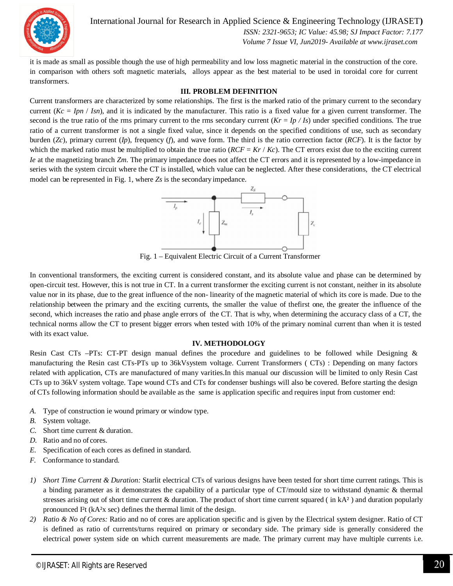

International Journal for Research in Applied Science & Engineering Technology (IJRASET**)**

 *ISSN: 2321-9653; IC Value: 45.98; SJ Impact Factor: 7.177 Volume 7 Issue VI, Jun2019- Available at www.ijraset.com*

it is made as small as possible though the use of high permeability and low loss magnetic material in the construction of the core. in comparison with others soft magnetic materials, alloys appear as the best material to be used in toroidal core for current transformers.

#### **III. PROBLEM DEFINITION**

Current transformers are characterized by some relationships. The first is the marked ratio of the primary current to the secondary current  $(Kc = Ipn / Isn)$ , and it is indicated by the manufacturer. This ratio is a fixed value for a given current transformer. The second is the true ratio of the rms primary current to the rms secondary current  $(Kr = Ip / Is)$  under specified conditions. The true ratio of a current transformer is not a single fixed value, since it depends on the specified conditions of use, such as secondary burden (*Zc*), primary current (*Ip*), frequency (*f*), and wave form. The third is the ratio correction factor (*RCF*). It is the factor by which the marked ratio must be multiplied to obtain the true ratio  $(RCF = Kr / Kc)$ . The CT errors exist due to the exciting current *Ie* at the magnetizing branch *Zm*. The primary impedance does not affect the CT errors and it is represented by a low-impedance in series with the system circuit where the CT is installed, which value can be neglected. After these considerations, the CT electrical model can be represented in Fig. 1, where *Zs* is the secondary impedance.



Fig. 1 – Equivalent Electric Circuit of a Current Transformer

In conventional transformers, the exciting current is considered constant, and its absolute value and phase can be determined by open-circuit test. However, this is not true in CT. In a current transformer the exciting current is not constant, neither in its absolute value nor in its phase, due to the great influence of the non- linearity of the magnetic material of which its core is made. Due to the relationship between the primary and the exciting currents, the smaller the value of thefirst one, the greater the influence of the second, which increases the ratio and phase angle errors of the CT. That is why, when determining the accuracy class of a CT, the technical norms allow the CT to present bigger errors when tested with 10% of the primary nominal current than when it is tested with its exact value.

#### **IV. METHODOLOGY**

Resin Cast CTs –PTs: CT-PT design manual defines the procedure and guidelines to be followed while Designing & manufacturing the Resin cast CTs-PTs up to 36kVsystem voltage. Current Transformers ( CTs) : Depending on many factors related with application, CTs are manufactured of many varities.In this manual our discussion will be limited to only Resin Cast CTs up to 36kV system voltage. Tape wound CTs and CTs for condenser bushings will also be covered. Before starting the design of CTs following information should be available as the same is application specific and requires input from customer end:

- *A.* Type of construction ie wound primary or window type.
- *B.* System voltage.
- *C.* Short time current & duration.
- *D.* Ratio and no of cores.
- *E.* Specification of each cores as defined in standard.
- *F.* Conformance to standard.
- *1) Short Time Current & Duration:* Starlit electrical CTs of various designs have been tested for short time current ratings. This is a binding parameter as it demonstrates the capability of a particular type of CT/mould size to withstand dynamic & thermal stresses arising out of short time current & duration. The product of short time current squared ( in kA² ) and duration popularly pronounced I²t (kA²x sec) defines the thermal limit of the design.
- *2) Ratio & No of Cores:* Ratio and no of cores are application specific and is given by the Electrical system designer. Ratio of CT is defined as ratio of currents/turns required on primary or secondary side. The primary side is generally considered the electrical power system side on which current measurements are made. The primary current may have multiple currents i.e.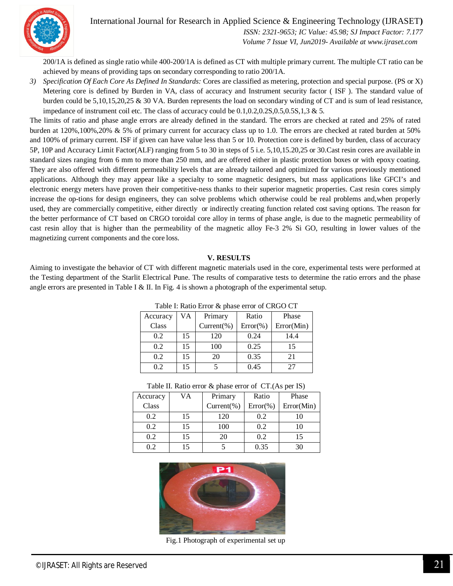

International Journal for Research in Applied Science & Engineering Technology (IJRASET**)**

 *ISSN: 2321-9653; IC Value: 45.98; SJ Impact Factor: 7.177 Volume 7 Issue VI, Jun2019- Available at www.ijraset.com*

200/1A is defined as single ratio while 400-200/1A is defined as CT with multiple primary current. The multiple CT ratio can be achieved by means of providing taps on secondary corresponding to ratio 200/1A.

*3) Specification Of Each Core As Defined In Standards:* Cores are classified as metering, protection and special purpose. (PS or X) Metering core is defined by Burden in VA, class of accuracy and Instrument security factor ( ISF ). The standard value of burden could be 5,10,15,20,25 & 30 VA. Burden represents the load on secondary winding of CT and is sum of lead resistance, impedance of instrument coil etc. The class of accuracy could be  $0.1, 0.2, 0.2, 0.5, 0.5, 0.5, 1, 3 \& 5$ .

The limits of ratio and phase angle errors are already defined in the standard. The errors are checked at rated and 25% of rated burden at 120%,100%,20% & 5% of primary current for accuracy class up to 1.0. The errors are checked at rated burden at 50% and 100% of primary current. ISF if given can have value less than 5 or 10. Protection core is defined by burden, class of accuracy 5P, 10P and Accuracy Limit Factor(ALF) ranging from 5 to 30 in steps of 5 i.e. 5,10,15.20,25 or 30.Cast resin cores are available in standard sizes ranging from 6 mm to more than 250 mm, and are offered either in plastic protection boxes or with epoxy coating. They are also offered with different permeability levels that are already tailored and optimized for various previously mentioned applications. Although they may appear like a specialty to some magnetic designers, but mass applications like GFCI's and electronic energy meters have proven their competitive-ness thanks to their superior magnetic properties. Cast resin cores simply increase the op-tions for design engineers, they can solve problems which otherwise could be real problems and,when properly used, they are commercially competitive, either directly or indirectly creating function related cost saving options. The reason for the better performance of CT based on CRGO toroidal core alloy in terms of phase angle, is due to the magnetic permeability of cast resin alloy that is higher than the permeability of the magnetic alloy Fe-3 2% Si GO, resulting in lower values of the magnetizing current components and the core loss.

#### **V. RESULTS**

Aiming to investigate the behavior of CT with different magnetic materials used in the core, experimental tests were performed at the Testing department of the Starlit Electrical Pune. The results of comparative tests to determine the ratio errors and the phase angle errors are presented in Table I & II. In Fig. 4 is shown a photograph of the experimental setup.

| Accuracy | VA | Primary        | Ratio        | Phase      |  |  |  |  |
|----------|----|----------------|--------------|------------|--|--|--|--|
| Class    |    | $Current(\% )$ | $Error(\% )$ | Error(Min) |  |  |  |  |
| 0.2      | 15 | 120            | 0.24         | 14.4       |  |  |  |  |
| 0.2      | 15 | 100            | 0.25         | 15         |  |  |  |  |
| 0.2      | 15 | 20             | 0.35         | 21         |  |  |  |  |
| 0.2      |    |                | 0.45         | 27         |  |  |  |  |

Table I: Ratio Error & phase error of CRGO CT

| Table II. Ratio error & phase error of CT.(As per IS) |  |  |
|-------------------------------------------------------|--|--|
|-------------------------------------------------------|--|--|

| Accuracy | VA | Primary        | Ratio        | Phase      |
|----------|----|----------------|--------------|------------|
| Class    |    | $Current(\% )$ | $Error(\% )$ | Error(Min) |
| 0.2      | 15 | 120            | 0.2          | 10         |
| 0.2      | 15 | 100            | 0.2          | 10         |
| 0.2      | 15 | 20             | 0.2          | 15         |
| 0.2      | 15 |                | 0.35         | 30         |



Fig.1 Photograph of experimental set up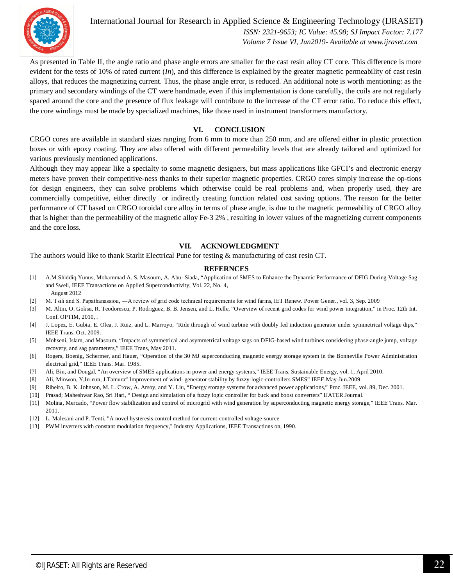

International Journal for Research in Applied Science & Engineering Technology (IJRASET**)**  *ISSN: 2321-9653; IC Value: 45.98; SJ Impact Factor: 7.177 Volume 7 Issue VI, Jun2019- Available at www.ijraset.com*

As presented in Table II, the angle ratio and phase angle errors are smaller for the cast resin alloy CT core. This difference is more evident for the tests of 10% of rated current (*In*), and this difference is explained by the greater magnetic permeability of cast resin alloys, that reduces the magnetizing current. Thus, the phase angle error, is reduced. An additional note is worth mentioning: as the primary and secondary windings of the CT were handmade, even if this implementation is done carefully, the coils are not regularly spaced around the core and the presence of flux leakage will contribute to the increase of the CT error ratio. To reduce this effect, the core windings must be made by specialized machines, like those used in instrument transformers manufactory.

#### **VI. CONCLUSION**

CRGO cores are available in standard sizes ranging from 6 mm to more than 250 mm, and are offered either in plastic protection boxes or with epoxy coating. They are also offered with different permeability levels that are already tailored and optimized for various previously mentioned applications.

Although they may appear like a specialty to some magnetic designers, but mass applications like GFCI's and electronic energy meters have proven their competitive-ness thanks to their superior magnetic properties. CRGO cores simply increase the op-tions for design engineers, they can solve problems which otherwise could be real problems and, when properly used, they are commercially competitive, either directly or indirectly creating function related cost saving options. The reason for the better performance of CT based on CRGO toroidal core alloy in terms of phase angle, is due to the magnetic permeability of CRGO alloy that is higher than the permeability of the magnetic alloy Fe-3 2% , resulting in lower values of the magnetizing current components and the core loss.

#### **VII. ACKNOWLEDGMENT**

The authors would like to thank Starlit Electrical Pune for testing & manufacturing of cast resin CT.

#### **REFERNCES**

- [1] A.M.Shiddiq Yunus, Mohammad A. S. Masoum, A. Abu- Siada, "Application of SMES to Enhance the Dynamic Performance of DFIG During Voltage Sag and Swell, IEEE Transactions on Applied Superconductivity, Vol. 22, No. 4, August 2012
- [2] M. Tsili and S. Papathanassiou, ―A review of grid code technical requirements for wind farms, IET Renew. Power Gener., vol. 3, Sep. 2009
- [3] M. Altin, O. Goksu, R. Teodorescu, P. Rodriguez, B. B. Jensen, and L. Helle, "Overview of recent grid codes for wind power integration," in Proc. 12th Int. Conf. OPTIM, 2010, .
- [4] J. Lopez, E. Gubia, E. Olea, J. Ruiz, and L. Marroyo, "Ride through of wind turbine with doubly fed induction generator under symmetrical voltage dips," IEEE Trans. Oct. 2009.
- [5] Mohseni, Islam, and Masoum, "Impacts of symmetrical and asymmetrical voltage sags on DFIG-based wind turbines considering phase-angle jump, voltage recovery, and sag parameters," IEEE Trans, May 2011.
- [6] Rogers, Boenig, Schermer, and Hauer, "Operation of the 30 MJ superconducting magnetic energy storage system in the Bonneville Power Administration electrical grid," IEEE Trans. Mar. 1985.
- [7] Ali, Bin, and Dougal, "An overview of SMES applications in power and energy systems," IEEE Trans. Sustainable Energy, vol. 1, April 2010.
- [8] Ali, Minwon, Y,In-eun, J.Tamura" Improvement of wind- generator stability by fuzzy-logic-controllers SMES" IEEE.May-Jun.2009.
- [9] Ribeiro, B. K. Johnson, M. L. Crow, A. Arsoy, and Y. Liu, "Energy storage systems for advanced power applications," Proc. IEEE, vol. 89, Dec. 2001.
- [10] Prasad; Maheshwar Rao, Sri Hari, " Design and simulation of a fuzzy logic controller for buck and boost converters" IJATER Journal.
- [11] Molina, Mercado, "Power flow stabilization and control of microgrid with wind generation by superconducting magnetic energy storage," IEEE Trans. Mar. 2011.
- [12] L. Malesani and P. Tenti, "A novel hysteresis control method for current-controlled voltage-source
- [13] PWM inverters with constant modulation frequency," Industry Applications, IEEE Transactions on, 1990.